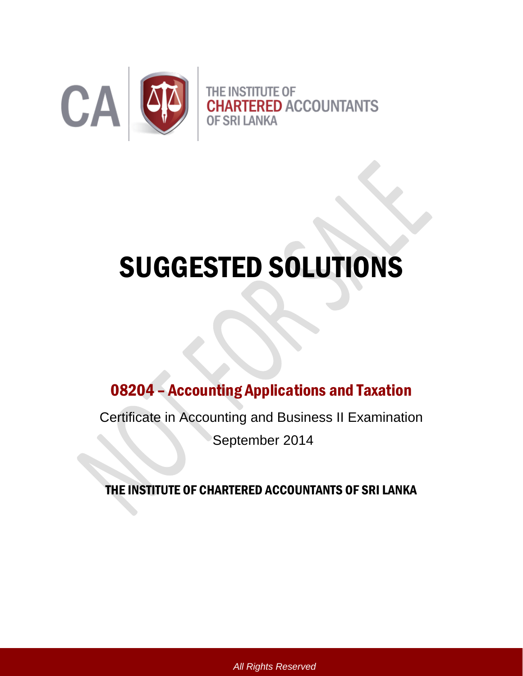

# SUGGESTED SOLUTIONS

# 08204 – Accounting Applications and Taxation

Certificate in Accounting and Business II Examination

September 2014

THE INSTITUTE OF CHARTERED ACCOUNTANTS OF SRI LANKA

*All Rights Reserved*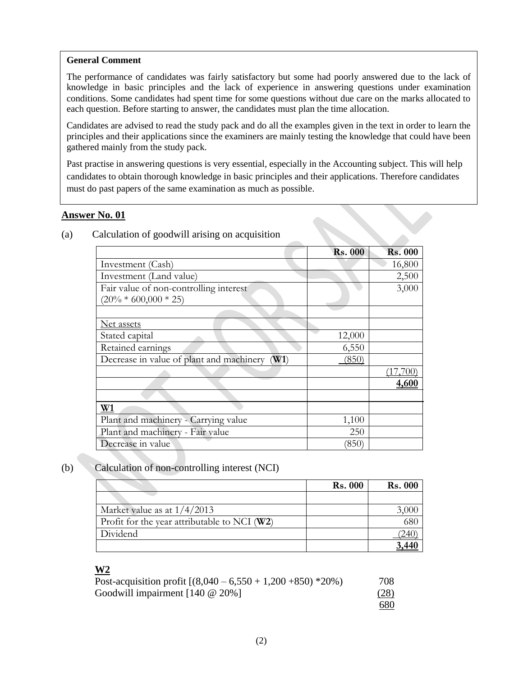# **General Comment**

The performance of candidates was fairly satisfactory but some had poorly answered due to the lack of knowledge in basic principles and the lack of experience in answering questions under examination conditions. Some candidates had spent time for some questions without due care on the marks allocated to each question. Before starting to answer, the candidates must plan the time allocation.

Candidates are advised to read the study pack and do all the examples given in the text in order to learn the principles and their applications since the examiners are mainly testing the knowledge that could have been gathered mainly from the study pack.

Past practise in answering questions is very essential, especially in the Accounting subject. This will help candidates to obtain thorough knowledge in basic principles and their applications. Therefore candidates must do past papers of the same examination as much as possible.

# **Answer No. 01**

|                                                  | <b>Rs. 000</b> | <b>Rs. 000</b> |
|--------------------------------------------------|----------------|----------------|
| Investment (Cash)                                |                | 16,800         |
| Investment (Land value)                          |                | 2,500          |
| Fair value of non-controlling interest           |                | 3,000          |
| $(20\% * 600,000 * 25)$                          |                |                |
|                                                  |                |                |
| <u>Net assets</u>                                |                |                |
| Stated capital                                   | 12,000         |                |
| Retained earnings                                | 6,550          |                |
| Decrease in value of plant and machinery<br>(W1) | (850)          |                |
|                                                  |                |                |
|                                                  |                | 4,600          |
|                                                  |                |                |
| W1                                               |                |                |
| Plant and machinery - Carrying value             | 1,100          |                |
| Plant and machinery - Fair value                 | 250            |                |
| Decrease in value                                | (850)          |                |

# (a) Calculation of goodwill arising on acquisition

# (b) Calculation of non-controlling interest (NCI)

|                                                | <b>Rs. 000</b> | <b>Rs. 000</b> |
|------------------------------------------------|----------------|----------------|
|                                                |                |                |
| Market value as at $1/4/2013$                  |                |                |
| Profit for the year attributable to NCI $(W2)$ |                |                |
| Dividend                                       |                |                |
|                                                |                |                |

# **W2**

| Post-acquisition profit $[(8,040 - 6,550 + 1,200 + 850) *20\%]$ | 708        |
|-----------------------------------------------------------------|------------|
| Goodwill impairment $[140 \t@ 20\%]$                            | (28)       |
|                                                                 | <u>680</u> |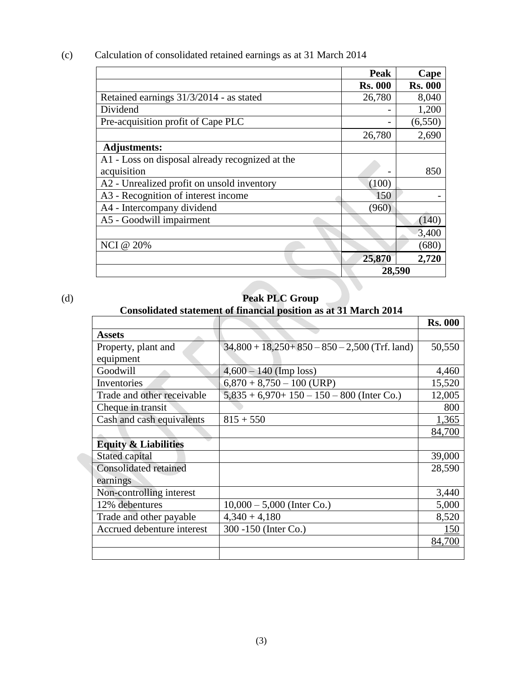(c) Calculation of consolidated retained earnings as at 31 March 2014

|                                                 | Peak           | Cape           |
|-------------------------------------------------|----------------|----------------|
|                                                 | <b>Rs. 000</b> | <b>Rs. 000</b> |
| Retained earnings 31/3/2014 - as stated         | 26,780         | 8,040          |
| Dividend                                        |                | 1,200          |
| Pre-acquisition profit of Cape PLC              |                | (6, 550)       |
|                                                 | 26,780         | 2,690          |
| <b>Adjustments:</b>                             |                |                |
| A1 - Loss on disposal already recognized at the |                |                |
| acquisition                                     |                | 850            |
| A2 - Unrealized profit on unsold inventory      | (100)          |                |
| A3 - Recognition of interest income             | 150            |                |
| A4 - Intercompany dividend                      | (960)          |                |
| A5 - Goodwill impairment                        |                | (140)          |
|                                                 |                | 3,400          |
| <b>NCI</b> @ 20%                                |                | (680)          |
|                                                 | 25,870         | 2,720          |
|                                                 | 28,590         |                |

# (d) **Peak PLC Group**

# **Consolidated statement of financial position as at 31 March 2014**

|                                 |                                                   | <b>Rs. 000</b> |
|---------------------------------|---------------------------------------------------|----------------|
| <b>Assets</b>                   |                                                   |                |
| Property, plant and             | $34,800 + 18,250 + 850 - 850 - 2,500$ (Trf. land) | 50,550         |
| equipment                       |                                                   |                |
| Goodwill                        | $4,600 - 140$ (Imp loss)                          | 4,460          |
| Inventories                     | $6,870 + 8,750 - 100$ (URP)                       | 15,520         |
| Trade and other receivable      | $5,835 + 6,970 + 150 - 150 - 800$ (Inter Co.)     | 12,005         |
| Cheque in transit               |                                                   | 800            |
| Cash and cash equivalents       | $815 + 550$                                       | 1,365          |
|                                 |                                                   | 84,700         |
| <b>Equity &amp; Liabilities</b> |                                                   |                |
| Stated capital                  |                                                   | 39,000         |
| <b>Consolidated retained</b>    |                                                   | 28,590         |
| earnings                        |                                                   |                |
| Non-controlling interest        |                                                   | 3,440          |
| 12% debentures                  | $10,000 - 5,000$ (Inter Co.)                      | 5,000          |
| Trade and other payable         | $4,340 + 4,180$                                   | 8,520          |
| Accrued debenture interest      | 300 -150 (Inter Co.)                              | 150            |
|                                 |                                                   | 84,700         |
|                                 |                                                   |                |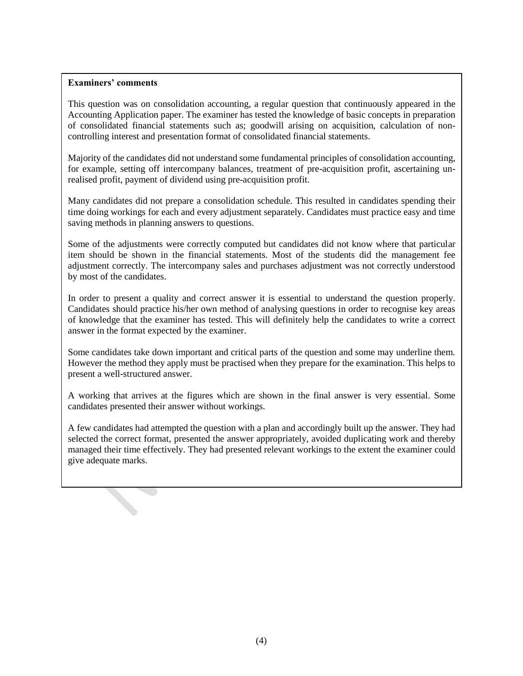This question was on consolidation accounting, a regular question that continuously appeared in the Accounting Application paper. The examiner has tested the knowledge of basic concepts in preparation of consolidated financial statements such as; goodwill arising on acquisition, calculation of noncontrolling interest and presentation format of consolidated financial statements.

Majority of the candidates did not understand some fundamental principles of consolidation accounting, for example, setting off intercompany balances, treatment of pre-acquisition profit, ascertaining unrealised profit, payment of dividend using pre-acquisition profit.

Many candidates did not prepare a consolidation schedule. This resulted in candidates spending their time doing workings for each and every adjustment separately. Candidates must practice easy and time saving methods in planning answers to questions.

Some of the adjustments were correctly computed but candidates did not know where that particular item should be shown in the financial statements. Most of the students did the management fee adjustment correctly. The intercompany sales and purchases adjustment was not correctly understood by most of the candidates.

In order to present a quality and correct answer it is essential to understand the question properly. Candidates should practice his/her own method of analysing questions in order to recognise key areas of knowledge that the examiner has tested. This will definitely help the candidates to write a correct answer in the format expected by the examiner.

Some candidates take down important and critical parts of the question and some may underline them. However the method they apply must be practised when they prepare for the examination. This helps to present a well-structured answer.

A working that arrives at the figures which are shown in the final answer is very essential. Some candidates presented their answer without workings.

A few candidates had attempted the question with a plan and accordingly built up the answer. They had selected the correct format, presented the answer appropriately, avoided duplicating work and thereby managed their time effectively. They had presented relevant workings to the extent the examiner could give adequate marks.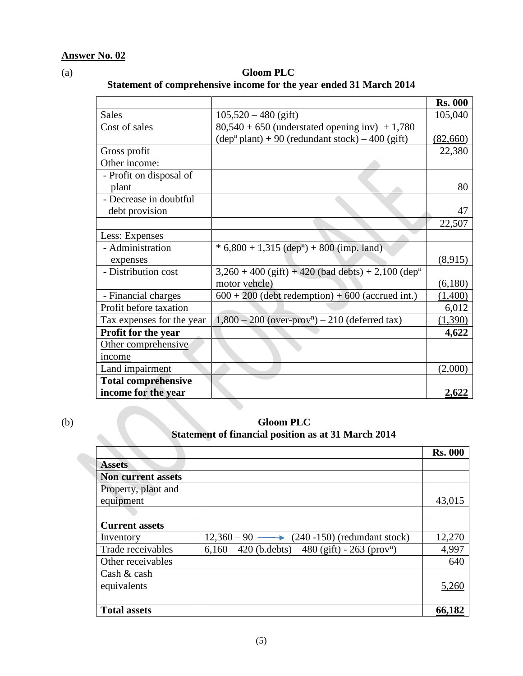(a) **Gloom PLC Statement of comprehensive income for the year ended 31 March 2014**

|                            |                                                                    | <b>Rs. 000</b> |
|----------------------------|--------------------------------------------------------------------|----------------|
| <b>Sales</b>               | $105,520 - 480$ (gift)                                             | 105,040        |
| Cost of sales              | $80,540 + 650$ (understated opening inv) + 1,780                   |                |
|                            | $(\text{dep}^n \text{ plant}) + 90$ (redundant stock) – 400 (gift) | (82,660)       |
| Gross profit               |                                                                    | 22,380         |
| Other income:              |                                                                    |                |
| - Profit on disposal of    |                                                                    |                |
| plant                      |                                                                    | 80             |
| - Decrease in doubtful     |                                                                    |                |
| debt provision             |                                                                    | 47             |
|                            |                                                                    | 22,507         |
| Less: Expenses             |                                                                    |                |
| - Administration           | $* 6,800 + 1,315$ (dep <sup>n</sup> ) + 800 (imp. land)            |                |
| expenses                   |                                                                    | (8,915)        |
| - Distribution cost        | $3,260 + 400$ (gift) + 420 (bad debts) + 2,100 (dep <sup>n</sup>   |                |
|                            | motor vehcle)                                                      | (6,180)        |
| - Financial charges        | $600 + 200$ (debt redemption) + 600 (accrued int.)                 | (1,400)        |
| Profit before taxation     |                                                                    | 6,012          |
| Tax expenses for the year  | $1,800 - 200$ (over-prov <sup>n</sup> ) – 210 (deferred tax)       | (1,390)        |
| <b>Profit for the year</b> |                                                                    | 4,622          |
| Other comprehensive        |                                                                    |                |
| income                     |                                                                    |                |
| Land impairment            |                                                                    | (2,000)        |
| <b>Total comprehensive</b> |                                                                    |                |
| income for the year        |                                                                    | 2,622          |

(b) **Gloom PLC** *Statement of financial position as at 31 March 2014* 

|                           |                                                                   | <b>Rs. 000</b> |
|---------------------------|-------------------------------------------------------------------|----------------|
| <b>Assets</b>             |                                                                   |                |
| <b>Non current assets</b> |                                                                   |                |
| Property, plant and       |                                                                   |                |
| equipment                 |                                                                   | 43,015         |
|                           |                                                                   |                |
| <b>Current assets</b>     |                                                                   |                |
| Inventory                 | $12,360 - 90 \longrightarrow (240 - 150)$ (redundant stock)       | 12,270         |
| Trade receivables         | $6,160 - 420$ (b.debts) $- 480$ (gift) - 263 (prov <sup>n</sup> ) | 4,997          |
| Other receivables         |                                                                   | 640            |
| Cash $&$ cash             |                                                                   |                |
| equivalents               |                                                                   | 5.260          |
|                           |                                                                   |                |
| <b>Total assets</b>       |                                                                   | 66,182         |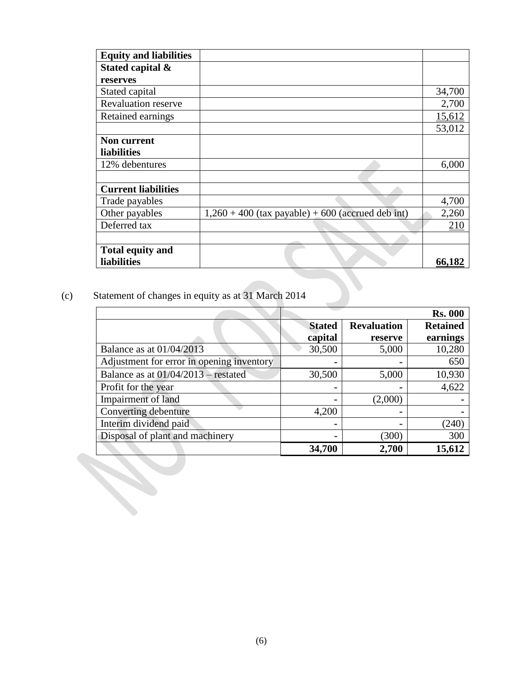| <b>Equity and liabilities</b> |                                                     |        |
|-------------------------------|-----------------------------------------------------|--------|
| Stated capital &              |                                                     |        |
| reserves                      |                                                     |        |
| Stated capital                |                                                     | 34,700 |
| <b>Revaluation reserve</b>    |                                                     | 2,700  |
| Retained earnings             |                                                     | 15,612 |
|                               |                                                     | 53,012 |
| <b>Non current</b>            |                                                     |        |
| liabilities                   |                                                     |        |
| 12% debentures                |                                                     | 6,000  |
|                               |                                                     |        |
| <b>Current liabilities</b>    |                                                     |        |
| Trade payables                |                                                     | 4,700  |
| Other payables                | $1,260 + 400$ (tax payable) + 600 (accrued deb int) | 2,260  |
| Deferred tax                  |                                                     | 210    |
|                               |                                                     |        |
| <b>Total equity and</b>       |                                                     |        |
| <b>liabilities</b>            |                                                     | 66,182 |

# (c) Statement of changes in equity as at 31 March 2014

|                                           | <b>Stated</b> | <b>Revaluation</b> | <b>Retained</b> |
|-------------------------------------------|---------------|--------------------|-----------------|
|                                           | capital       | reserve            | earnings        |
| Balance as at 01/04/2013                  | 30,500        | 5,000              | 10,280          |
| Adjustment for error in opening inventory |               |                    |                 |
| Balance as at $01/04/2013$ – restated     | 30,500        | 5,000              | 10,930          |
| Profit for the year                       |               |                    | 4,622           |
| Impairment of land                        |               | (2,000)            |                 |
| Converting debenture                      | 4,200         |                    |                 |
| Interim dividend paid                     |               |                    | (240)           |
| Disposal of plant and machinery           |               | (300)              |                 |
|                                           | 34,700        | 2,700              | 15,612          |
|                                           |               |                    |                 |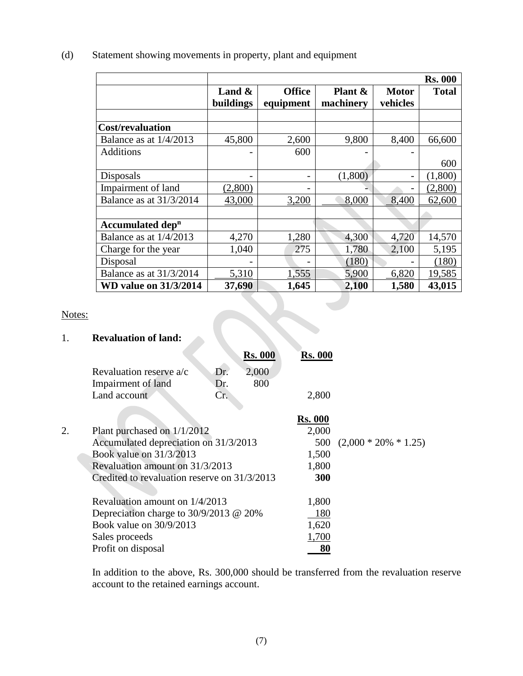|                          |                        | <b>Rs. 000</b>             |                      |                          |              |  |
|--------------------------|------------------------|----------------------------|----------------------|--------------------------|--------------|--|
|                          | Land $\&$<br>buildings | <b>Office</b><br>equipment | Plant &<br>machinery | <b>Motor</b><br>vehicles | <b>Total</b> |  |
|                          |                        |                            |                      |                          |              |  |
| <b>Cost/revaluation</b>  |                        |                            |                      |                          |              |  |
| Balance as at $1/4/2013$ | 45,800                 | 2,600                      | 9,800                | 8,400                    | 66,600       |  |
| <b>Additions</b>         | -                      | 600                        |                      |                          |              |  |

Disposals - (1,800) - (1,800)

Impairment of land (2,800)<br>Balance as at  $31/3/2014$   $43,000$   $3,200$   $8,000$   $8,400$   $62,600$ Balance as at 31/3/2014 43,000 3,200 8,000 8,400 62,600

Balance as at 1/4/2013 4,270 1,280 4,300 4,720 14,570 Charge for the year 1,040 275 1,780 2,100 5,195 Disposal  $\vert$  -  $\vert$  - (180) - (180) Balance as at 31/3/2014 5,310 1,555 5,900 6,820 19,585 **WD value on 31/3/2014** 37,690 1,645 2,100 1,580 43,015

600

# (d) Statement showing movements in property, plant and equipment

# Notes:

# 1. **Revaluation of land:**

**Accumulated dep<sup>n</sup>**

|                         |              | <b>Rs. 000</b> | <b>Rs. 000</b> |
|-------------------------|--------------|----------------|----------------|
| Revaluation reserve a/c | Dr.          | 2,000          |                |
| Impairment of land      | Dr.          | 800            |                |
| Land account            | $\mathbf{r}$ |                | 2,800          |
|                         |              |                |                |

|    |                                              | <b>Rs. 000</b> |                             |
|----|----------------------------------------------|----------------|-----------------------------|
| 2. | Plant purchased on 1/1/2012                  | 2,000          |                             |
|    | Accumulated depreciation on 31/3/2013        |                | 500 $(2,000 * 20\% * 1.25)$ |
|    | Book value on 31/3/2013                      | 1,500          |                             |
|    | Revaluation amount on 31/3/2013              | 1,800          |                             |
|    | Credited to revaluation reserve on 31/3/2013 | 300            |                             |
|    |                                              |                |                             |
|    | Revaluation amount on 1/4/2013               | 1,800          |                             |
|    | Depreciation charge to $30/9/2013$ @ 20%     | -180           |                             |
|    | Book value on 30/9/2013                      | 1,620          |                             |
|    | Sales proceeds                               | 1,700          |                             |
|    | Profit on disposal                           |                |                             |
|    |                                              |                |                             |

In addition to the above, Rs. 300,000 should be transferred from the revaluation reserve account to the retained earnings account.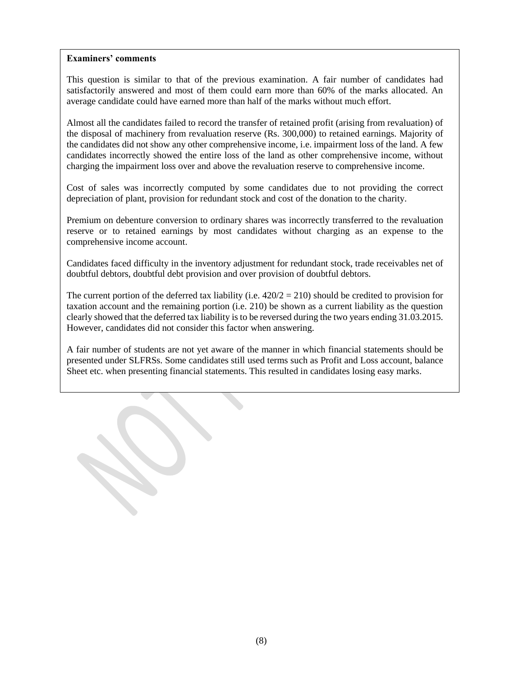This question is similar to that of the previous examination. A fair number of candidates had satisfactorily answered and most of them could earn more than 60% of the marks allocated. An average candidate could have earned more than half of the marks without much effort.

Almost all the candidates failed to record the transfer of retained profit (arising from revaluation) of the disposal of machinery from revaluation reserve (Rs. 300,000) to retained earnings. Majority of the candidates did not show any other comprehensive income, i.e. impairment loss of the land. A few candidates incorrectly showed the entire loss of the land as other comprehensive income, without charging the impairment loss over and above the revaluation reserve to comprehensive income.

Cost of sales was incorrectly computed by some candidates due to not providing the correct depreciation of plant, provision for redundant stock and cost of the donation to the charity.

Premium on debenture conversion to ordinary shares was incorrectly transferred to the revaluation reserve or to retained earnings by most candidates without charging as an expense to the comprehensive income account.

Candidates faced difficulty in the inventory adjustment for redundant stock, trade receivables net of doubtful debtors, doubtful debt provision and over provision of doubtful debtors.

The current portion of the deferred tax liability (i.e.  $420/2 = 210$ ) should be credited to provision for taxation account and the remaining portion (i.e. 210) be shown as a current liability as the question clearly showed that the deferred tax liability is to be reversed during the two years ending 31.03.2015. However, candidates did not consider this factor when answering.

A fair number of students are not yet aware of the manner in which financial statements should be presented under SLFRSs. Some candidates still used terms such as Profit and Loss account, balance Sheet etc. when presenting financial statements. This resulted in candidates losing easy marks.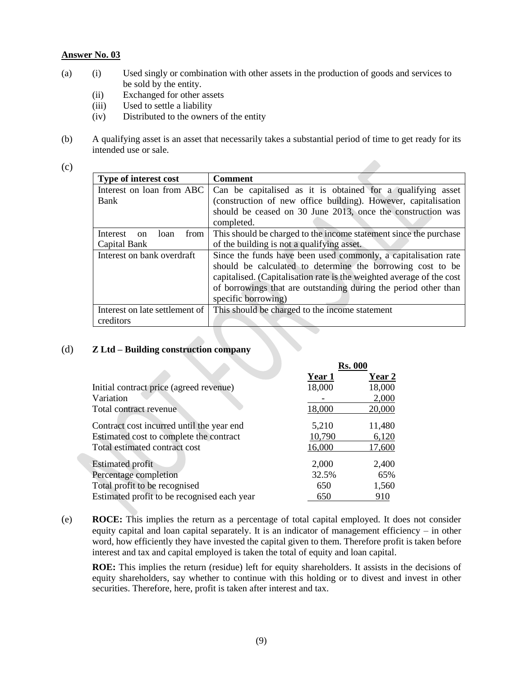- (a) (i) Used singly or combination with other assets in the production of goods and services to be sold by the entity.
	- (ii) Exchanged for other assets
	- (iii) Used to settle a liability
	- (iv) Distributed to the owners of the entity
- (b) A qualifying asset is an asset that necessarily takes a substantial period of time to get ready for its intended use or sale.
- (c)

| Type of interest cost                     | <b>Comment</b>                                                        |
|-------------------------------------------|-----------------------------------------------------------------------|
| Interest on loan from ABC                 | Can be capitalised as it is obtained for a qualifying asset           |
| Bank                                      | (construction of new office building). However, capitalisation        |
|                                           | should be ceased on 30 June 2013, once the construction was           |
|                                           | completed.                                                            |
| Interest<br>from<br>loan<br><sub>on</sub> | This should be charged to the income statement since the purchase     |
| Capital Bank                              | of the building is not a qualifying asset.                            |
| Interest on bank overdraft                | Since the funds have been used commonly, a capitalisation rate        |
|                                           | should be calculated to determine the borrowing cost to be            |
|                                           | capitalised. (Capitalisation rate is the weighted average of the cost |
|                                           | of borrowings that are outstanding during the period other than       |
|                                           | specific borrowing)                                                   |
| Interest on late settlement of            | This should be charged to the income statement                        |
| creditors                                 |                                                                       |

#### (d) **Z Ltd – Building construction company**

|                                             | <b>Rs. 000</b> |        |
|---------------------------------------------|----------------|--------|
|                                             | Year 1         | Year 2 |
| Initial contract price (agreed revenue)     | 18,000         | 18,000 |
| Variation                                   |                | 2,000  |
| Total contract revenue                      | 18,000         | 20,000 |
| Contract cost incurred until the year end   | 5,210          | 11,480 |
| Estimated cost to complete the contract     | 10,790         | 6,120  |
| Total estimated contract cost               | 16,000         | 17,600 |
| <b>Estimated profit</b>                     | 2,000          | 2,400  |
| Percentage completion                       | 32.5%          | 65%    |
| Total profit to be recognised               | 650            | 1,560  |
| Estimated profit to be recognised each year | 650            | 910    |

(e) **ROCE:** This implies the return as a percentage of total capital employed. It does not consider equity capital and loan capital separately. It is an indicator of management efficiency – in other word, how efficiently they have invested the capital given to them. Therefore profit is taken before interest and tax and capital employed is taken the total of equity and loan capital.

**ROE:** This implies the return (residue) left for equity shareholders. It assists in the decisions of equity shareholders, say whether to continue with this holding or to divest and invest in other securities. Therefore, here, profit is taken after interest and tax.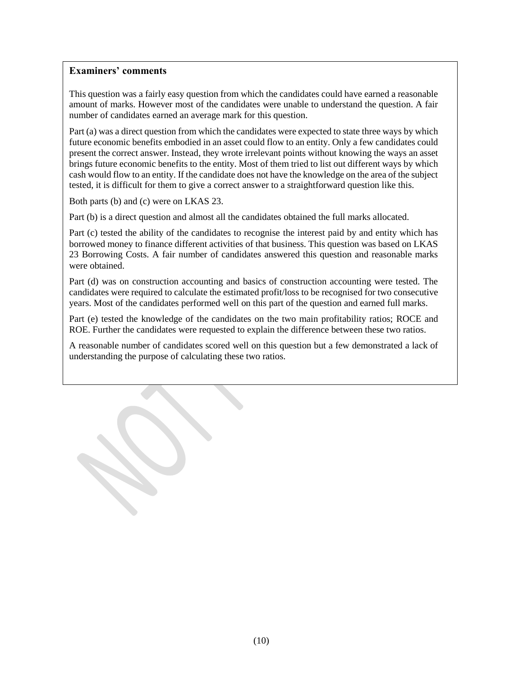This question was a fairly easy question from which the candidates could have earned a reasonable amount of marks. However most of the candidates were unable to understand the question. A fair number of candidates earned an average mark for this question.

Part (a) was a direct question from which the candidates were expected to state three ways by which future economic benefits embodied in an asset could flow to an entity. Only a few candidates could present the correct answer. Instead, they wrote irrelevant points without knowing the ways an asset brings future economic benefits to the entity. Most of them tried to list out different ways by which cash would flow to an entity. If the candidate does not have the knowledge on the area of the subject tested, it is difficult for them to give a correct answer to a straightforward question like this.

Both parts (b) and (c) were on LKAS 23.

Part (b) is a direct question and almost all the candidates obtained the full marks allocated.

Part (c) tested the ability of the candidates to recognise the interest paid by and entity which has borrowed money to finance different activities of that business. This question was based on LKAS 23 Borrowing Costs. A fair number of candidates answered this question and reasonable marks were obtained.

Part (d) was on construction accounting and basics of construction accounting were tested. The candidates were required to calculate the estimated profit/loss to be recognised for two consecutive years. Most of the candidates performed well on this part of the question and earned full marks.

Part (e) tested the knowledge of the candidates on the two main profitability ratios; ROCE and ROE. Further the candidates were requested to explain the difference between these two ratios.

A reasonable number of candidates scored well on this question but a few demonstrated a lack of understanding the purpose of calculating these two ratios.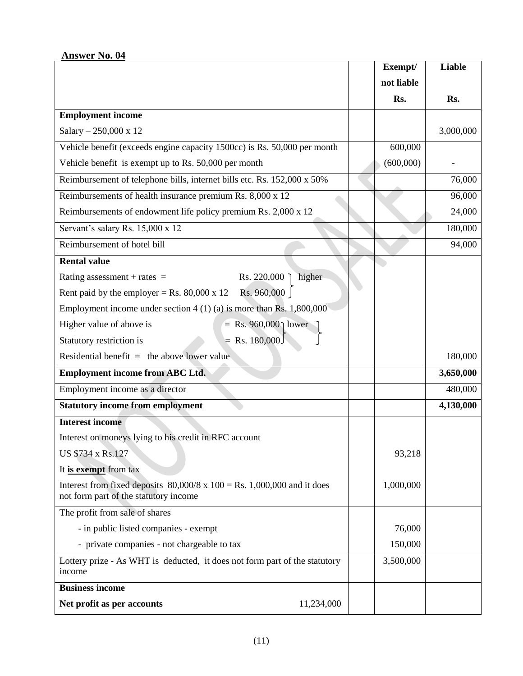|                                                                                                                                 | Exempt/    | <b>Liable</b> |
|---------------------------------------------------------------------------------------------------------------------------------|------------|---------------|
|                                                                                                                                 | not liable |               |
|                                                                                                                                 | Rs.        | Rs.           |
| <b>Employment income</b>                                                                                                        |            |               |
| Salary - 250,000 x 12                                                                                                           |            | 3,000,000     |
| Vehicle benefit (exceeds engine capacity 1500cc) is Rs. 50,000 per month                                                        | 600,000    |               |
| Vehicle benefit is exempt up to Rs. 50,000 per month                                                                            | (600,000)  |               |
| Reimbursement of telephone bills, internet bills etc. Rs. 152,000 x 50%                                                         |            | 76,000        |
| Reimbursements of health insurance premium Rs. 8,000 x 12                                                                       |            | 96,000        |
| Reimbursements of endowment life policy premium Rs. 2,000 x 12                                                                  |            | 24,000        |
| Servant's salary Rs. 15,000 x 12                                                                                                |            | 180,000       |
| Reimbursement of hotel bill                                                                                                     |            | 94,000        |
| <b>Rental value</b>                                                                                                             |            |               |
| higher<br>Rating assessment + rates $=$<br>Rs. 220,000                                                                          |            |               |
| Rs. 960,000<br>Rent paid by the employer = Rs. $80,000 \times 12$                                                               |            |               |
| Employment income under section $4(1)(a)$ is more than Rs. 1,800,000                                                            |            |               |
| = Rs. 960,000 \tip lower<br>Higher value of above is                                                                            |            |               |
| $=$ Rs. 180,000<br>Statutory restriction is                                                                                     |            |               |
| Residential benefit $=$ the above lower value                                                                                   |            | 180,000       |
| <b>Employment income from ABC Ltd.</b>                                                                                          |            | 3,650,000     |
| Employment income as a director                                                                                                 |            | 480,000       |
| <b>Statutory income from employment</b>                                                                                         |            | 4,130,000     |
| <b>Interest income</b>                                                                                                          |            |               |
| Interest on moneys lying to his credit in RFC account                                                                           |            |               |
| US \$734 x Rs.127                                                                                                               | 93,218     |               |
| It is exempt from tax                                                                                                           |            |               |
| Interest from fixed deposits $80,000/8 \times 100 = \text{Rs}$ . 1,000,000 and it does<br>not form part of the statutory income | 1,000,000  |               |
| The profit from sale of shares                                                                                                  |            |               |
| - in public listed companies - exempt                                                                                           | 76,000     |               |
| - private companies - not chargeable to tax                                                                                     | 150,000    |               |
| Lottery prize - As WHT is deducted, it does not form part of the statutory<br>income                                            | 3,500,000  |               |
| <b>Business income</b>                                                                                                          |            |               |
| Net profit as per accounts<br>11,234,000                                                                                        |            |               |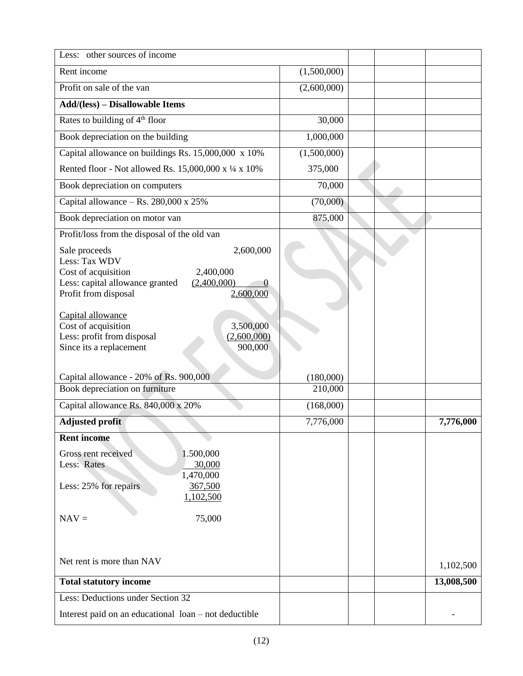| Less: other sources of income                              |             |  |            |
|------------------------------------------------------------|-------------|--|------------|
| Rent income                                                | (1,500,000) |  |            |
| Profit on sale of the van                                  | (2,600,000) |  |            |
| <b>Add/(less)</b> – Disallowable Items                     |             |  |            |
| Rates to building of 4 <sup>th</sup> floor                 | 30,000      |  |            |
| Book depreciation on the building                          | 1,000,000   |  |            |
| Capital allowance on buildings Rs. 15,000,000 x 10%        | (1,500,000) |  |            |
| Rented floor - Not allowed Rs. 15,000,000 x 1/4 x 10%      | 375,000     |  |            |
| Book depreciation on computers                             | 70,000      |  |            |
| Capital allowance - Rs. 280,000 x 25%                      | (70,000)    |  |            |
| Book depreciation on motor van                             | 875,000     |  |            |
| Profit/loss from the disposal of the old van               |             |  |            |
| 2,600,000<br>Sale proceeds                                 |             |  |            |
| Less: Tax WDV<br>Cost of acquisition<br>2,400,000          |             |  |            |
| Less: capital allowance granted<br>(2,400,000)<br>$\theta$ |             |  |            |
| 2,600,000<br>Profit from disposal                          |             |  |            |
|                                                            |             |  |            |
| Capital allowance<br>Cost of acquisition<br>3,500,000      |             |  |            |
| Less: profit from disposal<br>(2,600,000)                  |             |  |            |
| Since its a replacement<br>900,000                         |             |  |            |
|                                                            |             |  |            |
| Capital allowance - 20% of Rs. 900,000                     | (180,000)   |  |            |
| Book depreciation on furniture                             | 210,000     |  |            |
| Capital allowance Rs. 840,000 x 20%                        | (168,000)   |  |            |
| <b>Adjusted profit</b>                                     | 7,776,000   |  | 7,776,000  |
| <b>Rent income</b>                                         |             |  |            |
| Gross rent received<br>1.500,000                           |             |  |            |
| 30,000<br>Less: Rates                                      |             |  |            |
| 1,470,000                                                  |             |  |            |
| Less: 25% for repairs<br>367,500<br>1,102,500              |             |  |            |
| 75,000<br>$NAV =$                                          |             |  |            |
|                                                            |             |  |            |
|                                                            |             |  |            |
| Net rent is more than NAV                                  |             |  |            |
|                                                            |             |  | 1,102,500  |
| <b>Total statutory income</b>                              |             |  | 13,008,500 |
| Less: Deductions under Section 32                          |             |  |            |
| Interest paid on an educational loan – not deductible      |             |  |            |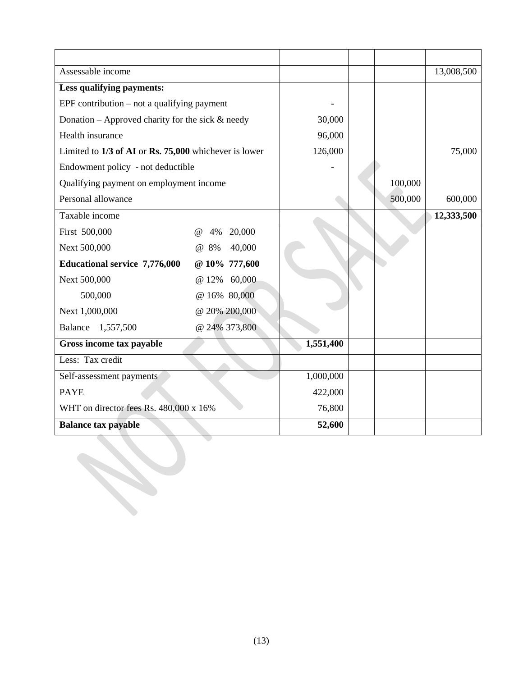| Assessable income                                     |               |           |         | 13,008,500 |
|-------------------------------------------------------|---------------|-----------|---------|------------|
| Less qualifying payments:                             |               |           |         |            |
| EPF contribution $-$ not a qualifying payment         |               |           |         |            |
| Donation – Approved charity for the sick $\&$ needy   |               | 30,000    |         |            |
| Health insurance                                      |               | 96,000    |         |            |
| Limited to 1/3 of AI or Rs. 75,000 whichever is lower |               | 126,000   |         | 75,000     |
| Endowment policy - not deductible                     |               |           |         |            |
| Qualifying payment on employment income               |               |           | 100,000 |            |
| Personal allowance                                    |               |           | 500,000 | 600,000    |
| Taxable income                                        |               |           |         | 12,333,500 |
| First 500,000<br>@<br>4%                              | 20,000        |           |         |            |
| Next 500,000<br>@ 8%                                  | 40,000        |           |         |            |
| <b>Educational service 7,776,000</b>                  | @ 10% 777,600 |           |         |            |
| Next 500,000<br>@ 12%                                 | 60,000        |           |         |            |
| 500,000<br>@ 16% 80,000                               |               |           |         |            |
| Next 1,000,000                                        | @ 20% 200,000 |           |         |            |
| Balance 1,557,500                                     | @ 24% 373,800 |           |         |            |
| Gross income tax payable                              |               | 1,551,400 |         |            |
| Less: Tax credit                                      |               |           |         |            |
| Self-assessment payments                              |               | 1,000,000 |         |            |
| <b>PAYE</b>                                           |               | 422,000   |         |            |
| WHT on director fees Rs. 480,000 x 16%                |               | 76,800    |         |            |
| <b>Balance tax payable</b>                            |               | 52,600    |         |            |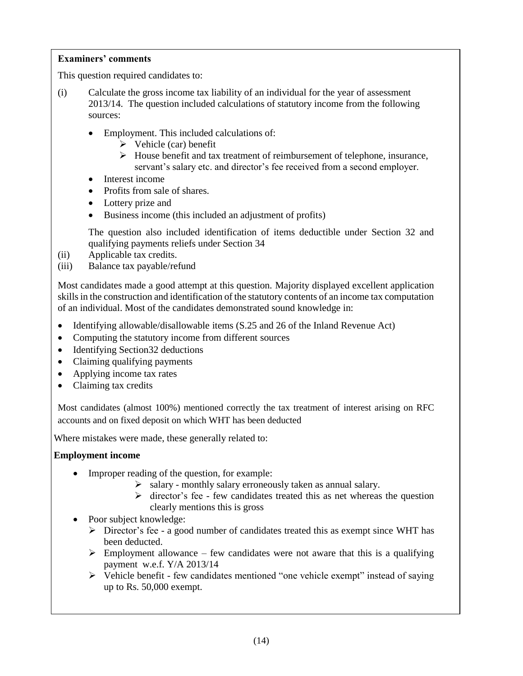This question required candidates to:

- (i) Calculate the gross income tax liability of an individual for the year of assessment 2013/14. The question included calculations of statutory income from the following sources:
	- Employment. This included calculations of:
		- $\triangleright$  Vehicle (car) benefit
		- House benefit and tax treatment of reimbursement of telephone, insurance, servant's salary etc. and director's fee received from a second employer.
	- Interest income
	- Profits from sale of shares.
	- Lottery prize and
	- Business income (this included an adjustment of profits)

The question also included identification of items deductible under Section 32 and qualifying payments reliefs under Section 34

- (ii) Applicable tax credits.
- (iii) Balance tax payable/refund

Most candidates made a good attempt at this question. Majority displayed excellent application skills in the construction and identification of the statutory contents of an income tax computation of an individual. Most of the candidates demonstrated sound knowledge in:

- Identifying allowable/disallowable items (S.25 and 26 of the Inland Revenue Act)
- Computing the statutory income from different sources
- Identifying Section 32 deductions
- Claiming qualifying payments
- Applying income tax rates
- Claiming tax credits

Most candidates (almost 100%) mentioned correctly the tax treatment of interest arising on RFC accounts and on fixed deposit on which WHT has been deducted

Where mistakes were made, these generally related to:

# **Employment income**

- Improper reading of the question, for example:
	- $\triangleright$  salary monthly salary erroneously taken as annual salary.
	- $\triangleright$  director's fee few candidates treated this as net whereas the question clearly mentions this is gross
- Poor subject knowledge:
	- $\triangleright$  Director's fee a good number of candidates treated this as exempt since WHT has been deducted.
	- $\triangleright$  Employment allowance few candidates were not aware that this is a qualifying payment w.e.f. Y/A 2013/14
	- $\triangleright$  Vehicle benefit few candidates mentioned "one vehicle exempt" instead of saying up to Rs. 50,000 exempt.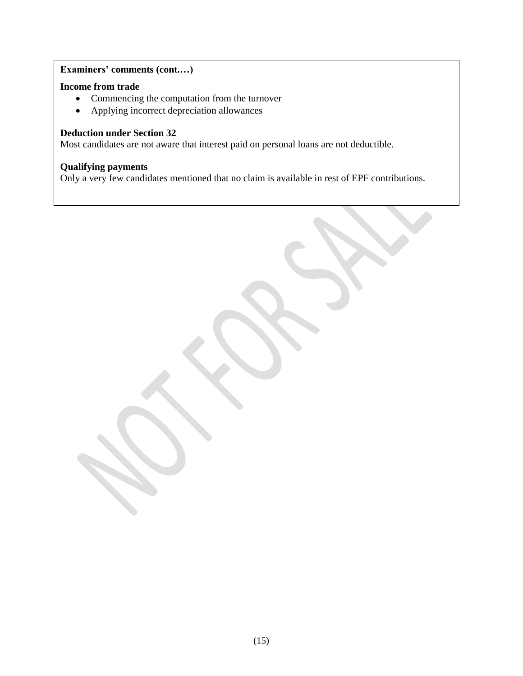# **Examiners' comments (cont.…)**

# **Income from trade**

- Commencing the computation from the turnover
- Applying incorrect depreciation allowances

# **Deduction under Section 32**

Most candidates are not aware that interest paid on personal loans are not deductible.

# **Qualifying payments**

Only a very few candidates mentioned that no claim is available in rest of EPF contributions.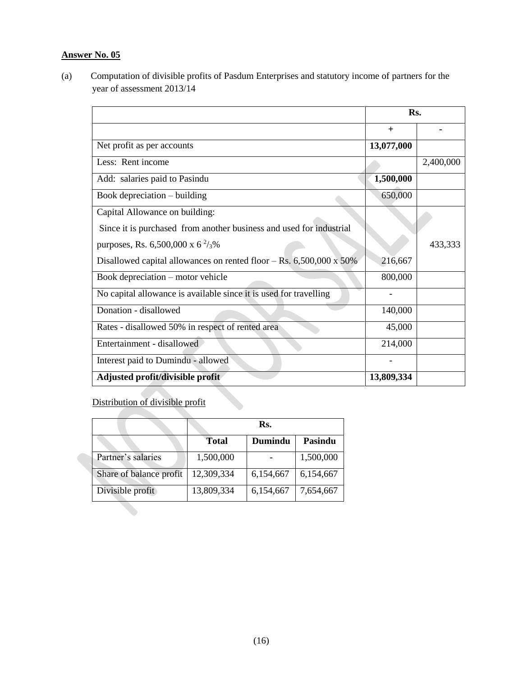(a) Computation of divisible profits of Pasdum Enterprises and statutory income of partners for the year of assessment 2013/14

|                                                                       | Rs.        |           |
|-----------------------------------------------------------------------|------------|-----------|
|                                                                       | $^{+}$     |           |
| Net profit as per accounts                                            | 13,077,000 |           |
| Less: Rent income                                                     |            | 2,400,000 |
| Add: salaries paid to Pasindu                                         | 1,500,000  |           |
| Book depreciation – building                                          | 650,000    |           |
| Capital Allowance on building:                                        |            |           |
| Since it is purchased from another business and used for industrial   |            |           |
| purposes, Rs. 6,500,000 x 6 $\frac{2}{3}$ %                           |            | 433,333   |
| Disallowed capital allowances on rented floor $-$ Rs. 6,500,000 x 50% | 216,667    |           |
| Book depreciation - motor vehicle                                     | 800,000    |           |
| No capital allowance is available since it is used for travelling     |            |           |
| Donation - disallowed                                                 | 140,000    |           |
| Rates - disallowed 50% in respect of rented area                      | 45,000     |           |
| Entertainment - disallowed                                            | 214,000    |           |
| Interest paid to Dumindu - allowed                                    |            |           |
| Adjusted profit/divisible profit                                      | 13,809,334 |           |

Distribution of divisible profit

|                         | Rs.          |           |           |  |
|-------------------------|--------------|-----------|-----------|--|
|                         | <b>Total</b> | Dumindu   | Pasindu   |  |
| Partner's salaries      | 1,500,000    |           | 1,500,000 |  |
| Share of balance profit | 12,309,334   | 6,154,667 | 6,154,667 |  |
| Divisible profit        | 13,809,334   | 6,154,667 | 7,654,667 |  |
|                         |              |           |           |  |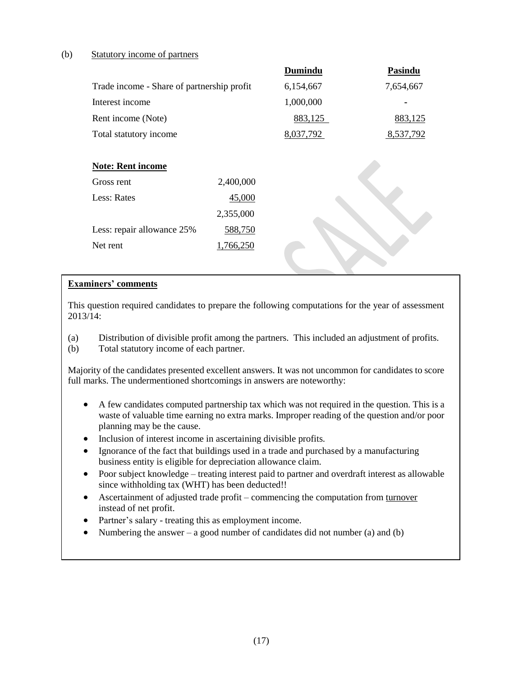# (b) Statutory income of partners

|                                            |           | Dumindu   | <b>Pasindu</b> |
|--------------------------------------------|-----------|-----------|----------------|
| Trade income - Share of partnership profit |           | 6,154,667 | 7,654,667      |
| Interest income                            |           | 1,000,000 |                |
| Rent income (Note)                         |           | 883,125   | 883,125        |
| Total statutory income                     |           | 8,037,792 | 8,537,792      |
|                                            |           |           |                |
| <b>Note: Rent income</b>                   |           |           |                |
| Gross rent                                 | 2,400,000 |           |                |
| Less: Rates                                | 45,000    |           |                |
|                                            | 2,355,000 |           |                |
| Less: repair allowance 25%                 | 588,750   |           |                |
| Net rent                                   | 1,766,250 |           |                |
|                                            |           |           |                |

#### **Examiners' comments**

This question required candidates to prepare the following computations for the year of assessment 2013/14:

- (a) Distribution of divisible profit among the partners. This included an adjustment of profits.
- (b) Total statutory income of each partner.

Majority of the candidates presented excellent answers. It was not uncommon for candidates to score full marks. The undermentioned shortcomings in answers are noteworthy:

- A few candidates computed partnership tax which was not required in the question. This is a waste of valuable time earning no extra marks. Improper reading of the question and/or poor planning may be the cause.
- Inclusion of interest income in ascertaining divisible profits.
- Ignorance of the fact that buildings used in a trade and purchased by a manufacturing business entity is eligible for depreciation allowance claim.
- Poor subject knowledge treating interest paid to partner and overdraft interest as allowable since withholding tax (WHT) has been deducted!!
- Ascertainment of adjusted trade profit commencing the computation from turnover instead of net profit.
- Partner's salary treating this as employment income.
- Numbering the answer a good number of candidates did not number (a) and (b)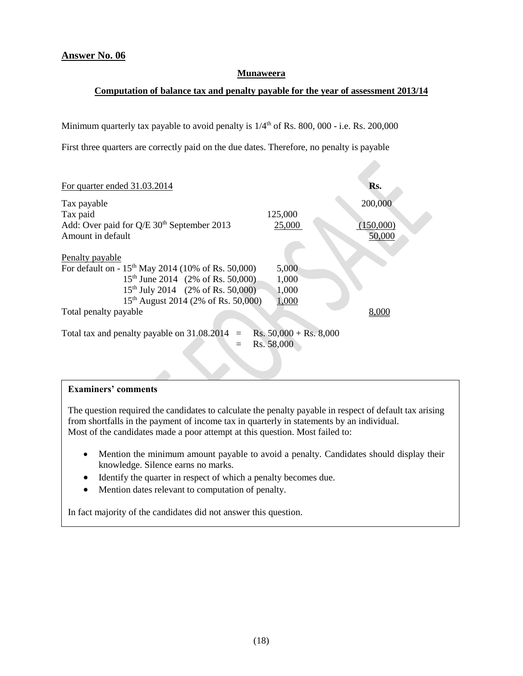#### **Munaweera**

#### **Computation of balance tax and penalty payable for the year of assessment 2013/14**

Minimum quarterly tax payable to avoid penalty is  $1/4<sup>th</sup>$  of Rs. 800, 000 - i.e. Rs. 200,000

First three quarters are correctly paid on the due dates. Therefore, no penalty is payable

| For quarter ended 31.03.2014                                   |                                  | Rs.       |
|----------------------------------------------------------------|----------------------------------|-----------|
| Tax payable                                                    |                                  | 200,000   |
| Tax paid                                                       | 125,000                          |           |
| Add: Over paid for Q/E 30 <sup>th</sup> September 2013         | 25,000                           | (150,000) |
| Amount in default                                              |                                  | 50,000    |
|                                                                |                                  |           |
| Penalty payable                                                |                                  |           |
| For default on - 15 <sup>th</sup> May 2014 (10% of Rs. 50,000) | 5,000                            |           |
| 15 <sup>th</sup> June 2014 (2% of Rs. 50,000)                  | 1,000                            |           |
| 15 <sup>th</sup> July 2014 (2% of Rs. 50,000)                  | 1,000                            |           |
| 15 <sup>th</sup> August 2014 (2% of Rs. 50,000)                | 1,000                            |           |
| Total penalty payable                                          |                                  | 8.000     |
|                                                                |                                  |           |
| Total tax and penalty payable on $31.08.2014$ =                | Rs. $50,000 + \text{Rs. } 8,000$ |           |
|                                                                | Rs. 58,000                       |           |
|                                                                |                                  |           |

#### **Examiners' comments**

The question required the candidates to calculate the penalty payable in respect of default tax arising from shortfalls in the payment of income tax in quarterly in statements by an individual. Most of the candidates made a poor attempt at this question. Most failed to:

- Mention the minimum amount payable to avoid a penalty. Candidates should display their knowledge. Silence earns no marks.
- Identify the quarter in respect of which a penalty becomes due.
- Mention dates relevant to computation of penalty.

In fact majority of the candidates did not answer this question.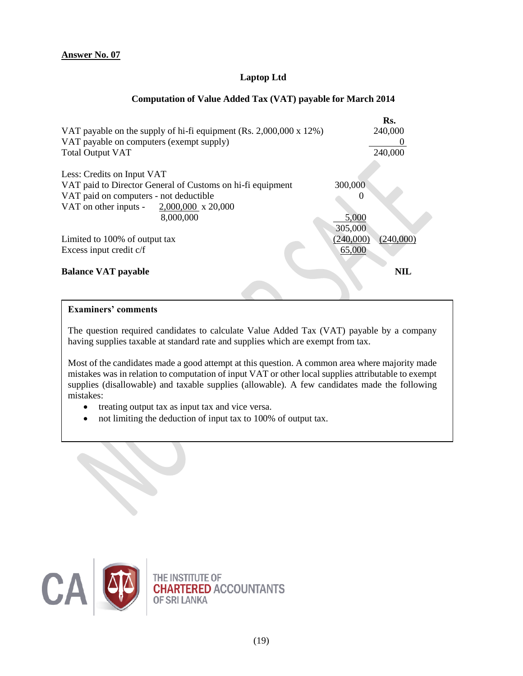# **Laptop Ltd**

# **Computation of Value Added Tax (VAT) payable for March 2014**

|                                                                    | Rs.                    |
|--------------------------------------------------------------------|------------------------|
| VAT payable on the supply of hi-fi equipment (Rs. 2,000,000 x 12%) | 240,000                |
| VAT payable on computers (exempt supply)                           |                        |
| <b>Total Output VAT</b>                                            | 240,000                |
| Less: Credits on Input VAT                                         |                        |
| VAT paid to Director General of Customs on hi-fi equipment         | 300,000                |
| VAT paid on computers - not deductible                             | $\mathbf{\Omega}$      |
| VAT on other inputs - $2,000,000 \times 20,000$                    |                        |
| 8,000,000                                                          | 5,000                  |
|                                                                    | 305,000                |
| Limited to 100% of output tax                                      | (240,000)<br>(240,000) |
| Excess input credit c/f                                            | 65,000                 |
| <b>Balance VAT payable</b>                                         | NIL                    |
|                                                                    |                        |

# **Examiners' comments**

The question required candidates to calculate Value Added Tax (VAT) payable by a company having supplies taxable at standard rate and supplies which are exempt from tax.

Most of the candidates made a good attempt at this question. A common area where majority made mistakes was in relation to computation of input VAT or other local supplies attributable to exempt supplies (disallowable) and taxable supplies (allowable). A few candidates made the following mistakes:

- treating output tax as input tax and vice versa.
- not limiting the deduction of input tax to 100% of output tax.